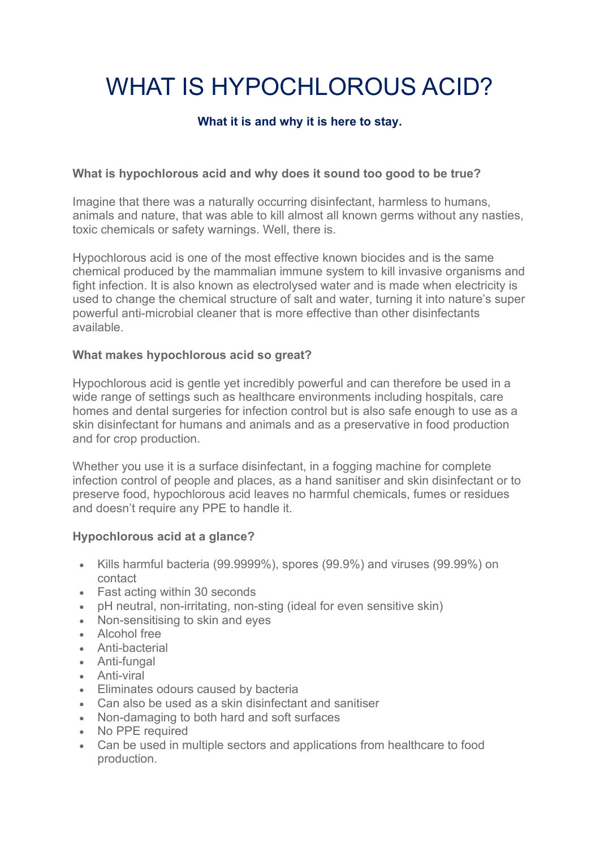# WHAT IS HYPOCHLOROUS ACID?

## **What it is and why it is here to stay.**

### **What is hypochlorous acid and why does it sound too good to be true?**

Imagine that there was a naturally occurring disinfectant, harmless to humans, animals and nature, that was able to kill almost all known germs without any nasties, toxic chemicals or safety warnings. Well, there is.

Hypochlorous acid is one of the most effective known biocides and is the same chemical produced by the mammalian immune system to kill invasive organisms and fight infection. It is also known as electrolysed water and is made when electricity is used to change the chemical structure of salt and water, turning it into nature's super powerful anti-microbial cleaner that is more effective than other disinfectants available.

#### **What makes hypochlorous acid so great?**

Hypochlorous acid is gentle yet incredibly powerful and can therefore be used in a wide range of settings such as healthcare environments including hospitals, care homes and dental surgeries for infection control but is also safe enough to use as a skin disinfectant for humans and animals and as a preservative in food production and for crop production.

Whether you use it is a surface disinfectant, in a fogging machine for complete infection control of people and places, as a hand sanitiser and skin disinfectant or to preserve food, hypochlorous acid leaves no harmful chemicals, fumes or residues and doesn't require any PPE to handle it.

#### **Hypochlorous acid at a glance?**

- Kills harmful bacteria (99.9999%), spores (99.9%) and viruses (99.99%) on contact
- Fast acting within 30 seconds
- pH neutral, non-irritating, non-sting (ideal for even sensitive skin)
- Non-sensitising to skin and eyes
- Alcohol free
- Anti-bacterial
- Anti-fungal
- Anti-viral
- Eliminates odours caused by bacteria
- Can also be used as a skin disinfectant and sanitiser
- Non-damaging to both hard and soft surfaces
- No PPE required
- Can be used in multiple sectors and applications from healthcare to food production.